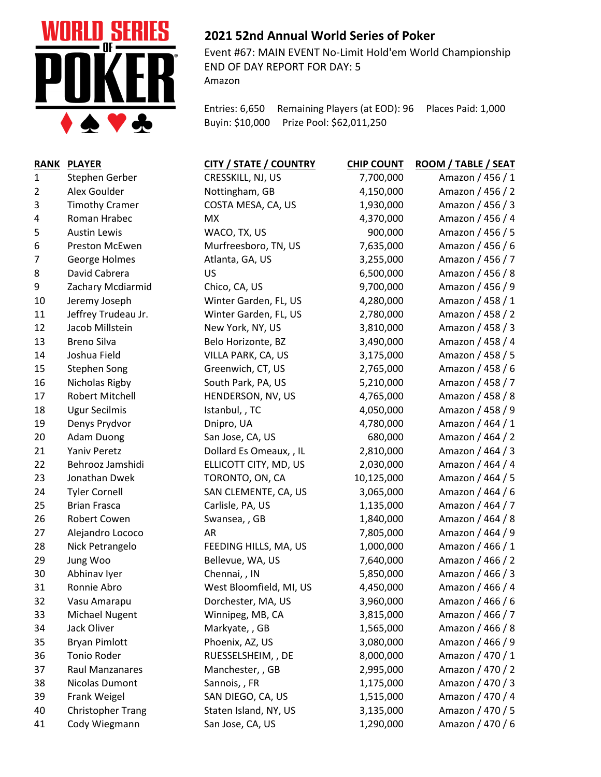

## **2021 52nd Annual World Series of Poker**

Event #67: MAIN EVENT No-Limit Hold'em World Championship END OF DAY REPORT FOR DAY: 5 Amazon

Entries: 6,650 Remaining Players (at EOD): 96 Places Paid: 1,000 Buyin: \$10,000 Prize Pool: \$62,011,250

| <b>RANK</b> | <b>PLAYER</b>            | <b>CITY / STATE / COUNTRY</b> | <b>CHIP COUNT</b> | ROOM / TABLE / SEAT |
|-------------|--------------------------|-------------------------------|-------------------|---------------------|
| 1           | Stephen Gerber           | CRESSKILL, NJ, US             | 7,700,000         | Amazon / 456 / 1    |
| 2           | Alex Goulder             | Nottingham, GB                | 4,150,000         | Amazon / 456 / 2    |
| 3           | <b>Timothy Cramer</b>    | COSTA MESA, CA, US            | 1,930,000         | Amazon / 456 / 3    |
| 4           | Roman Hrabec             | MX                            | 4,370,000         | Amazon / 456 / 4    |
| 5           | <b>Austin Lewis</b>      | WACO, TX, US                  | 900,000           | Amazon / 456 / 5    |
| 6           | Preston McEwen           | Murfreesboro, TN, US          | 7,635,000         | Amazon / 456 / 6    |
| 7           | George Holmes            | Atlanta, GA, US               | 3,255,000         | Amazon / 456 / 7    |
| 8           | David Cabrera            | US                            | 6,500,000         | Amazon / 456 / 8    |
| 9           | Zachary Mcdiarmid        | Chico, CA, US                 | 9,700,000         | Amazon / 456 / 9    |
| 10          | Jeremy Joseph            | Winter Garden, FL, US         | 4,280,000         | Amazon / 458 / 1    |
| 11          | Jeffrey Trudeau Jr.      | Winter Garden, FL, US         | 2,780,000         | Amazon / 458 / 2    |
| 12          | Jacob Millstein          | New York, NY, US              | 3,810,000         | Amazon / 458 / 3    |
| 13          | <b>Breno Silva</b>       | Belo Horizonte, BZ            | 3,490,000         | Amazon / 458 / 4    |
| 14          | Joshua Field             | VILLA PARK, CA, US            | 3,175,000         | Amazon / 458 / 5    |
| 15          | <b>Stephen Song</b>      | Greenwich, CT, US             | 2,765,000         | Amazon / 458 / 6    |
| 16          | Nicholas Rigby           | South Park, PA, US            | 5,210,000         | Amazon / 458 / 7    |
| 17          | Robert Mitchell          | HENDERSON, NV, US             | 4,765,000         | Amazon / 458 / 8    |
| 18          | <b>Ugur Secilmis</b>     | Istanbul, , TC                | 4,050,000         | Amazon / 458 / 9    |
| 19          | Denys Prydvor            | Dnipro, UA                    | 4,780,000         | Amazon / 464 / 1    |
| 20          | Adam Duong               | San Jose, CA, US              | 680,000           | Amazon / 464 / 2    |
| 21          | Yaniv Peretz             | Dollard Es Omeaux, , IL       | 2,810,000         | Amazon / 464 / 3    |
| 22          | Behrooz Jamshidi         | ELLICOTT CITY, MD, US         | 2,030,000         | Amazon / 464 / 4    |
| 23          | Jonathan Dwek            | TORONTO, ON, CA               | 10,125,000        | Amazon / 464 / 5    |
| 24          | <b>Tyler Cornell</b>     | SAN CLEMENTE, CA, US          | 3,065,000         | Amazon / 464 / 6    |
| 25          | <b>Brian Frasca</b>      | Carlisle, PA, US              | 1,135,000         | Amazon / 464 / 7    |
| 26          | Robert Cowen             | Swansea, , GB                 | 1,840,000         | Amazon / 464 / 8    |
| 27          | Alejandro Lococo         | AR                            | 7,805,000         | Amazon / 464 / 9    |
| 28          | Nick Petrangelo          | FEEDING HILLS, MA, US         | 1,000,000         | Amazon / 466 / 1    |
| 29          | Jung Woo                 | Bellevue, WA, US              | 7,640,000         | Amazon / 466 / 2    |
| 30          | Abhinav Iyer             | Chennai, , IN                 | 5,850,000         | Amazon / 466 / 3    |
| 31          | Ronnie Abro              | West Bloomfield, MI, US       | 4,450,000         | Amazon / 466 / 4    |
| 32          | Vasu Amarapu             | Dorchester, MA, US            | 3,960,000         | Amazon / 466 / 6    |
| 33          | <b>Michael Nugent</b>    | Winnipeg, MB, CA              | 3,815,000         | Amazon / 466 / 7    |
| 34          | Jack Oliver              | Markyate, , GB                | 1,565,000         | Amazon / 466 / 8    |
| 35          | <b>Bryan Pimlott</b>     | Phoenix, AZ, US               | 3,080,000         | Amazon / 466 / 9    |
| 36          | Tonio Roder              | RUESSELSHEIM, , DE            | 8,000,000         | Amazon / 470 / 1    |
| 37          | Raul Manzanares          | Manchester, , GB              | 2,995,000         | Amazon / 470 / 2    |
| 38          | Nicolas Dumont           | Sannois, , FR                 | 1,175,000         | Amazon / 470 / 3    |
| 39          | Frank Weigel             | SAN DIEGO, CA, US             | 1,515,000         | Amazon / 470 / 4    |
| 40          | <b>Christopher Trang</b> | Staten Island, NY, US         | 3,135,000         | Amazon / 470 / 5    |
| 41          | Cody Wiegmann            | San Jose, CA, US              | 1,290,000         | Amazon / 470 / 6    |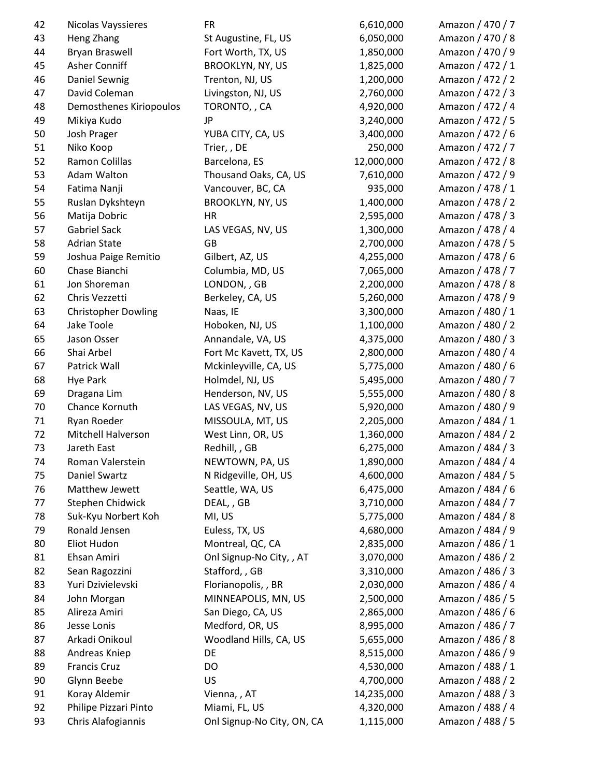| 42       | Nicolas Vayssieres         | <b>FR</b>                  | 6,610,000              | Amazon / 470 / 7 |
|----------|----------------------------|----------------------------|------------------------|------------------|
| 43       | Heng Zhang                 | St Augustine, FL, US       | 6,050,000              | Amazon / 470 / 8 |
| 44       | <b>Bryan Braswell</b>      | Fort Worth, TX, US         | 1,850,000              | Amazon / 470 / 9 |
| 45       | Asher Conniff              | <b>BROOKLYN, NY, US</b>    | 1,825,000              | Amazon / 472 / 1 |
| 46       | Daniel Sewnig              | Trenton, NJ, US            | 1,200,000              | Amazon / 472 / 2 |
| 47       | David Coleman              | Livingston, NJ, US         | 2,760,000              | Amazon / 472 / 3 |
| 48       | Demosthenes Kiriopoulos    | TORONTO,, CA               | 4,920,000              | Amazon / 472 / 4 |
| 49       | Mikiya Kudo                | JP                         | 3,240,000              | Amazon / 472 / 5 |
| 50       | Josh Prager                | YUBA CITY, CA, US          | 3,400,000              | Amazon / 472 / 6 |
| 51       | Niko Koop                  | Trier, , DE                | 250,000                | Amazon / 472 / 7 |
| 52       | Ramon Colillas             | Barcelona, ES              | 12,000,000             | Amazon / 472 / 8 |
| 53       | Adam Walton                | Thousand Oaks, CA, US      | 7,610,000              | Amazon / 472 / 9 |
| 54       | Fatima Nanji               | Vancouver, BC, CA          | 935,000                | Amazon / 478 / 1 |
| 55       | Ruslan Dykshteyn           | <b>BROOKLYN, NY, US</b>    | 1,400,000              | Amazon / 478 / 2 |
| 56       | Matija Dobric              | HR                         | 2,595,000              | Amazon / 478 / 3 |
| 57       | <b>Gabriel Sack</b>        | LAS VEGAS, NV, US          | 1,300,000              | Amazon / 478 / 4 |
| 58       | <b>Adrian State</b>        | GB                         | 2,700,000              | Amazon / 478 / 5 |
| 59       | Joshua Paige Remitio       | Gilbert, AZ, US            | 4,255,000              | Amazon / 478 / 6 |
| 60       | Chase Bianchi              | Columbia, MD, US           | 7,065,000              | Amazon / 478 / 7 |
| 61       | Jon Shoreman               | LONDON, , GB               | 2,200,000              | Amazon / 478 / 8 |
| 62       | Chris Vezzetti             | Berkeley, CA, US           | 5,260,000              | Amazon / 478 / 9 |
| 63       | <b>Christopher Dowling</b> | Naas, IE                   | 3,300,000              | Amazon / 480 / 1 |
| 64       | Jake Toole                 | Hoboken, NJ, US            | 1,100,000              | Amazon / 480 / 2 |
| 65       | Jason Osser                | Annandale, VA, US          | 4,375,000              | Amazon / 480 / 3 |
| 66       | Shai Arbel                 | Fort Mc Kavett, TX, US     | 2,800,000              | Amazon / 480 / 4 |
| 67       | Patrick Wall               | Mckinleyville, CA, US      | 5,775,000              | Amazon / 480 / 6 |
| 68       | <b>Hye Park</b>            | Holmdel, NJ, US            | 5,495,000              | Amazon / 480 / 7 |
| 69       | Dragana Lim                | Henderson, NV, US          | 5,555,000              | Amazon / 480 / 8 |
| 70       | Chance Kornuth             | LAS VEGAS, NV, US          | 5,920,000              | Amazon / 480 / 9 |
| 71       | Ryan Roeder                | MISSOULA, MT, US           | 2,205,000              | Amazon / 484 / 1 |
| 72       | Mitchell Halverson         | West Linn, OR, US          | 1,360,000              | Amazon / 484 / 2 |
| 73       | Jareth East                | Redhill, , GB              | 6,275,000              | Amazon / 484 / 3 |
|          | Roman Valerstein           | NEWTOWN, PA, US            | 1,890,000              | Amazon / 484 / 4 |
| 74<br>75 | <b>Daniel Swartz</b>       | N Ridgeville, OH, US       | 4,600,000              | Amazon / 484 / 5 |
| 76       | Matthew Jewett             | Seattle, WA, US            |                        | Amazon / 484 / 6 |
| 77       | Stephen Chidwick           | DEAL, , GB                 | 6,475,000<br>3,710,000 | Amazon / 484 / 7 |
|          |                            |                            |                        |                  |
| 78       | Suk-Kyu Norbert Koh        | MI, US                     | 5,775,000              | Amazon / 484 / 8 |
| 79       | Ronald Jensen              | Euless, TX, US             | 4,680,000              | Amazon / 484 / 9 |
| 80       | Eliot Hudon                | Montreal, QC, CA           | 2,835,000              | Amazon / 486 / 1 |
| 81       | Ehsan Amiri                | Onl Signup-No City, , AT   | 3,070,000              | Amazon / 486 / 2 |
| 82       | Sean Ragozzini             | Stafford, , GB             | 3,310,000              | Amazon / 486 / 3 |
| 83       | Yuri Dzivielevski          | Florianopolis, , BR        | 2,030,000              | Amazon / 486 / 4 |
| 84       | John Morgan                | MINNEAPOLIS, MN, US        | 2,500,000              | Amazon / 486 / 5 |
| 85       | Alireza Amiri              | San Diego, CA, US          | 2,865,000              | Amazon / 486 / 6 |
| 86       | Jesse Lonis                | Medford, OR, US            | 8,995,000              | Amazon / 486 / 7 |
| 87       | Arkadi Onikoul             | Woodland Hills, CA, US     | 5,655,000              | Amazon / 486 / 8 |
| 88       | Andreas Kniep              | DE                         | 8,515,000              | Amazon / 486 / 9 |
| 89       | <b>Francis Cruz</b>        | DO                         | 4,530,000              | Amazon / 488 / 1 |
| 90       | Glynn Beebe                | US                         | 4,700,000              | Amazon / 488 / 2 |
| 91       | Koray Aldemir              | Vienna, , AT               | 14,235,000             | Amazon / 488 / 3 |
| 92       | Philipe Pizzari Pinto      | Miami, FL, US              | 4,320,000              | Amazon / 488 / 4 |
| 93       | Chris Alafogiannis         | Onl Signup-No City, ON, CA | 1,115,000              | Amazon / 488 / 5 |